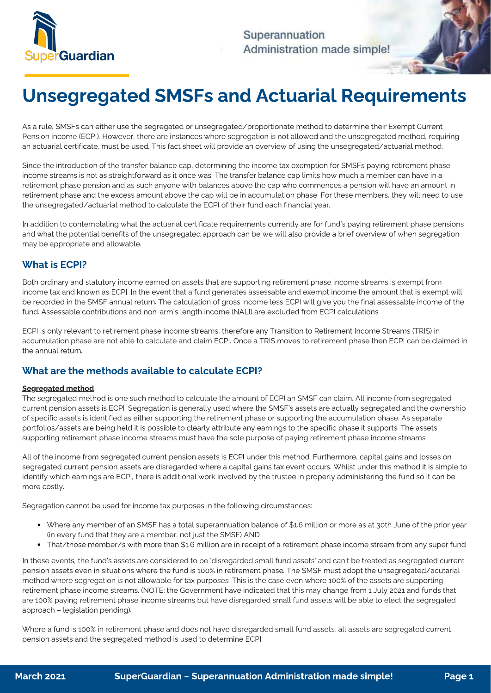

Superannuation Administration made simple!

# Unsegregated SMSFs and Actuarial Requirements

As a rule, SMSFs can either use the segregated or unsegregated/proportionate method to determine their Exempt Current<br>Pension income (ECPI). However, there are instances where segregation is not allowed and the unsegregate  $\mathcal{P}$  persion income (ECPI). However, the used This fact shoot will provide an overview of using the unsegregated (actuarial method, requiring  $\mathcal{P}$ an actuarial certificate, must be used. This fact sheet will provide an overview of using the unsegregated/actuarial method.

Since the introduction of the transfer balance cap, determining the income tax exemption for SMSFs paying retirement phase<br>income streams is not as straightforward as it once was. The transfer balance cap limits how much a retirement phase pension and as such anyone with balances above the cap who commences a pension will have an amount in retirement phase and the excess amount above the cap will be in accumulation phase. For these members, they will need to use  $r_{\rm re}$  retirement phase and the excess amount above the cap will be in accumulated to use  $\epsilon$  members, they will need to use  $\epsilon$  members, they will need to use  $\epsilon$  members, they will need to use  $\epsilon$  members, they wi the unsegregated/actuarial method to calculate the ECPI of their fund each financial year.

In addition to contemplating what the actuarial certificate requirements currently are for fund's paying retirement phase pensions<br>and what the potential benefits of the unsegregated approach can be we will also provide a and what the potential benefits of the unsegregated approach can be we will also provide a brief overview of when segregation may be appropriate and allowable.

#### What is ECPI?

Both ordinary and statutory income earned on assets that are supporting retirement phase income streams is exempt from<br>income tax and known as ECPI. In the event that a fund generates assessable and exempt income the amoun be recorded in the SMSF annual return. The calculation of gross income less ECPI will give you the final assessable income of the fund. Assessable contributions and non-arm's length income (NALI) are excluded from ECPI calculations. fund. Assessable contributions and non-arm's length income (NALI) are excluded from ECPI calculations.

ecomputation phase are not able to calculate and claim ECPI. Once a TPIS moves to retirement phase then ECPI can be cla accumulation phase are not able to calculate and claim ECPI. One are the claim ECPI can be claimed in the claimed in

# What are the methods available to calculate ECPI?

#### Segregated method

The segregated method is one such method to calculate the amount of ECPI an SMSF can claim. All income from segregated<br>current pension assets is ECPI. Segregation is generally used where the SMSF's assets are actually segr of specific assets is identified as either supporting the retirement phase or supporting the accumulation phase. As separate portfolios/assets are being held it is possible to clearly attribute any earnings to the specific phase it supports. The assets punorting retirement phase income creame must have the solo purpose of paying retirement phase income strongs. supporting retirement phase income streams must have the sole purpose of paying retirement phase income streams.

All of the income from segregated current pension assets is ECPI under this method. Furthermore, capital gains and losses on<br>segregated current pension assets are disregarded where a capital gains tax event occurs. Whilst identify which earnings are ECPI, there is additional work involved by the trustee in properly administering the fund so it can be identify which earnings are ECPI, there is additional work involved by the trustee in properly administering the fund so it can be more costly.

Segregation cannot be used for income tax purposes in the following circumstances:

- Where any member of an SMSF has a total superannuation balance of \$1.6 million or more as at 30th June of the prior year
- (in every fund that they are a member, need the SMSF) and SMSF (in the SMSF) and  $\sim$ That/those member/s with more than \$1.6 million are in receipt of a retirement phase income stream from any super fund

In these events, the fund's assets are considered to be 'disregarded small fund assets' and can't be treated as segregated current<br>pension assets even in situations where the fund is 100% in retirement phase. The SMSF must method where segregation is not allowable for tax purposes. This is the case even where 100% of the assets are supporting retirement phase income streams. (NOTE: the Government have indicated that this may change from 1 July 2021 and funds that  $\frac{100\%}{100\%}$  paying retirement phase income streams but have discographed and fund assets will be able to elect the corrected are 100% paying retirement phase income streams but have disregarded small fund assets will be able to elect the segregated small fund assets with a segregated small fund assets with a segregated small fund assets with a s approach – legislation pending).

 $\frac{1}{200}$  is 100% in retirement phase and does not have disregarded small fund assets are segregated assets and the corrected method is used to dotermine ECD. pension assets and the segregated method is used to determine ECPI.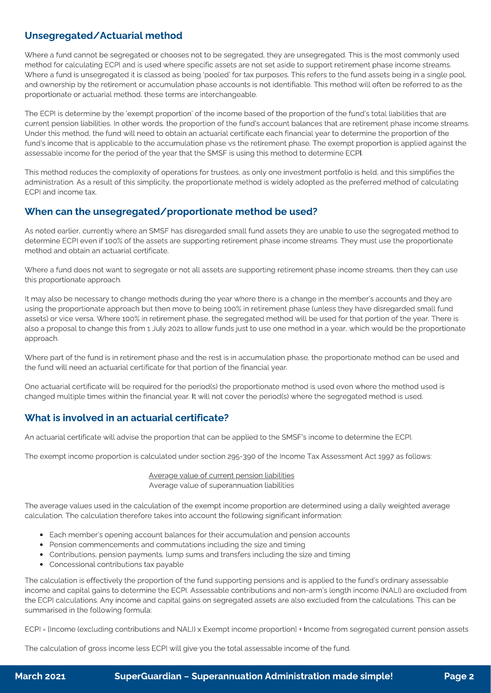## Unsegregated/Actuarial method

Where a fund cannot be segregated or chooses not to be segregated, they are unsegregated. This is the most commonly used<br>method for calculating ECPI and is used where specific assets are not set aside to support retirement Where a fund is unsegregated it is classed as being 'pooled' for tax purposes. This refers to the fund assets being in a single pool, and ownership by the retirement or accumulation phase accounts is not identifiable. This method will often be referred to as the proportionate or actuarial method, these terms are interchangeable. proportionate or actuarial method, these terms are interchangeable.

The ECPI is determine by the 'exempt proportion' of the income based of the proportion of the fund's total liabilities that are<br>current pension liabilities. In other words, the proportion of the fund's account balances tha Under this method, the fund will need to obtain an actuarial certificate each financial year to determine the proportion of the fund's income that is applicable to the accumulation phase vs the retirement phase. The exempt proportion is applied against the assessable income for the period of the year that the SMSF is using this method to determine ECPI. assessable income for the period of the year that the SMSF is using this method to determine ECPI.

 $\frac{1}{\sqrt{1-\frac{1}{\sqrt{1-\frac{1}{\sqrt{1-\frac{1}{\sqrt{1-\frac{1}{\sqrt{1-\frac{1}{\sqrt{1-\frac{1}{\sqrt{1-\frac{1}{\sqrt{1-\frac{1}{\sqrt{1-\frac{1}{\sqrt{1-\frac{1}{\sqrt{1-\frac{1}{\sqrt{1-\frac{1}{\sqrt{1-\frac{1}{\sqrt{1-\frac{1}{\sqrt{1-\frac{1}{\sqrt{1-\frac{1}{\sqrt{1-\frac{1}{\sqrt{1-\frac{1}{\sqrt{1-\frac{1}{\sqrt{1-\frac{1}{\sqrt{1-\frac{1}{\sqrt{1-\frac{1}{\sqrt{1-\frac{1}{\sqrt{1-\frac{1$ administration. As a result of this simplicity, the proportional method is widely adopted as the preferred method is calculating

#### When can the unsegregated/proportionate method be used?

As noted earlier, currently where an SMSF has disregarded small fund assets they are unable to use the segregated method to<br>determine ECPI even if 100% of the assets are supporting retirement phase income streams. They mus determine ECPI even if the assets are supporting retirement phase income streams. They must use the proportionate

Where a fund does not want to segregate or not all assets are supporting retirement phase income streams, then they can use<br>this proportionate approach. this proportionate approach.

It may also be necessary to change methods during the year where there is a change in the member's accounts and they are<br>using the proportionate approach but then move to being 100% in retirement phase (unless they have di assets) or vice versa. Where 100% in retirement phase, the segregated method will be used for that portion of the year. There is also a proposal to change this from 1 July 2021 to allow funds just to use one method in a year, which would be the proportionate annook a proposal to change this from 1 July 2021 to allow funds just to use one method in a year, which would be the proportionate approach.

Where part of the fund is in retirement phase and the rest is in accumulation phase, the proportionate method can be used and<br>the fund will need an actuarial certificate for that portion of the financial year. the fund will need an actuarial certificate for that portion of the financial year.

One actuarial certificate will be required for the period(s) the proportionate method is used even where the method used is<br>changed multiple times within the financial year. It will not cover the period(s) where the segreg changed multiple times within the financial year. It will not cover the period(s) where the segregated method is used.

# What is involved in an actuarial certificate?

An actuarial certificate will advise the proportion that can be applied to the SMSF's income to determine the ECPI.

The exempt income proportion is calculated under section 295-390 of the Income Tax Assessment Act 1997 as follows:

Average value of current pension liabilities<br>Average value of superannuation liabilities Average value of superannuation liabilities

 $\frac{1}{\sqrt{1-\frac{1}{\sqrt{1-\frac{1}{\sqrt{1-\frac{1}{\sqrt{1-\frac{1}{\sqrt{1-\frac{1}{\sqrt{1-\frac{1}{\sqrt{1-\frac{1}{\sqrt{1-\frac{1}{\sqrt{1-\frac{1}{\sqrt{1-\frac{1}{\sqrt{1-\frac{1}{\sqrt{1-\frac{1}{\sqrt{1-\frac{1}{\sqrt{1-\frac{1}{\sqrt{1-\frac{1}{\sqrt{1-\frac{1}{\sqrt{1-\frac{1}{\sqrt{1-\frac{1}{\sqrt{1-\frac{1}{\sqrt{1-\frac{1}{\sqrt{1-\frac{1}{\sqrt{1-\frac{1}{\sqrt{1-\frac{1}{\sqrt{1-\frac{1$ calculation. The calculation therefore takes into account the following significant information:

- Each member's opening account balances for their accumulation and pension accounts<br>• Pension commencements and commutations including the size and timing
- 
- Contributions, pension payments, lump sums and transfers including the size and timing
- Contributions, pension payments, lump sums and transfers including the size and timing Concessional contributions tax payable

The calculation is effectively the proportion of the fund supporting pensions and is applied to the fund's ordinary assessable<br>income and capital gains to determine the ECPI. Assessable contributions and non-arm's length i the ECPI calculations. Any income and capital gains on segregated assets are also excluded from the calculations. This can be summarised in the following formula: summarised in the following formula:

ECPI = [Income (excluding contributions and NALI) x Exempt income proportion] + Income from segregated current pension assets

The calculation of gross income less ECPI will give you the total assessable income of the fund.